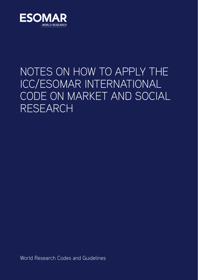

# NOTES ON HOW TO APPLY THE ICC/ESOMAR INTERNATIONAL CODE ON MARKET AND SOCIAL RESEARCH

World Research Codes and Guidelines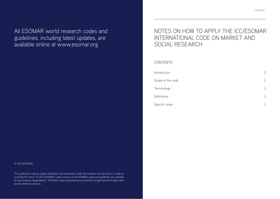All ESOMAR world research codes and guidelines, including latest updates, are available online at www.esomar.org

#### © 2013 ESOMAR.

This publication may be copied, distributed and transmitted under the condition that attribution is made by including the notice "© 2013 ESOMAR. Latest versions of all ESOMAR codes and guidelines are available at www.esomar.org/guidelines". ESOMAR codes and guidelines are drafted in English and the English texts are the definitive versions.

## NOTES ON HOW TO APPLY THE ICC/ESOMAR INTERNATIONAL CODE ON MARKET AND SOCIAL RESEARCH

**CONTENTS** 

| Introduction      | $\overline{2}$ |
|-------------------|----------------|
| Scope of the code | $\overline{2}$ |
| Terminology       | 3              |
| Definitions       | 3              |
| Specific notes    | 3              |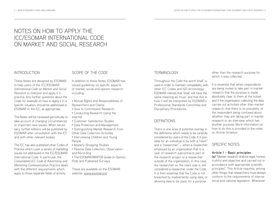## NOTES ON HOW TO APPLY THE ICC/ESOMAR INTERNATIONAL CODE ON MARKET AND SOCIAL RESEARCH

#### INTRODUCTION

These Notes are designed by ESOMAR to help users of the *ICC/ESOMAR International Code on Market and Social Research* to interpret and apply it in practice. Any further questions about the Code, for example on how to apply it in a specific situation, should be addressed to ESOMAR or the ICC, as appropriate.

The Notes will be reviewed periodically to take account of changing circumstances or important new issues. When necessary, further editions will be published by ESOMAR after consultation with the ICC and with other relevant bodies.

The ICC has also published other Codes of Practice which cover a variety of marketing issues not addressed in the ICC/ESOMAR International Code. In particular, the *Consolidated ICC Code of Advertising and Marketing Communication Practice* deals with the different requirements which apply to those separate fields of activity.

SCOPE OF THE CODE

In addition to these Notes, ESOMAR has issued guidelines on specific aspects of market, social and opinion research including:

- Mutual Rights and Responsibilities of Researchers and Clients
- How to Commission Research
- Conducting Research Using the Internet
- Customer Satisfaction Studies
- Data Protection and Management
- Distinguishing Market Research from Other Data Collection Activities
- Interviewing Children and Young People
- Mystery Shopping Studies
- Passive Data Collection, Observation
- and Recording
- The ESOMAR/WAPOR Guide on Opinion Polls and Published Surveys

These are available on the ESOMAR website: www.esomar.org

#### TERMINOLOGY

Throughout the Code the word 'shall' is used in order to maintain compatibility with other ICC Codes and ISO terminology. ESOMAR intends that 'shall' will have the same meaning as 'must' and that this is how it will be interpreted by ESOMAR's Professional Standards Committee and Disciplinary Procedures.

### **DEFINITIONS**

There is one area of potential overlap in the definitions which needs to be carefully considered by users of the Code. It is possible for an individual to be both a "client" and a "researcher" – when a researcher employed by an organization that is a user of research subcontracts part of the research project to a researcher outside of the organization. In this case, the researcher on the client side is still considered a researcher under the Code. It is then essential that the Code is not breached by inadvertently using data, or allowing data to be used, for a purpose

other than the research purpose for which it was collected.

It is essential that when respondents are being invited to take part in market research that the purpose is made absolutely clear to them at the outset and if the organisation collecting the data carries out activities other than market research, that there is no possibility of the respondent being confused about whether they are taking part in market research or an interview which has another purpose. More information on how to do this is provided in the notes on Article 1d below.

### SPECIFIC NOTES

#### **Article 1 – Basic principles**

**(a)** "Market research shall be legal, honest, truthful and objective and carried out in accordance with appropriate scientific principles". This Article requires, among other things, that researchers must always conform to the requirements of international and national legislation. Whenever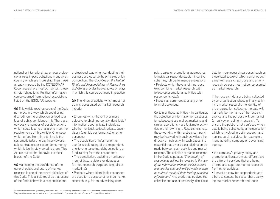national or international law or local professional rules impose obligations in any given country which are more strict than those already imposed by the ICC/ESOMAR Code, researchers must comply with these stricter obligations. Further information can be obtained from national associations listed on the ESOMAR website.

**(b)** This Article requires users of the Code include: not to act in a way which could bring discredit on the profession or lead to a loss of public confidence in it. There are obviously a number of possible actions which could lead to a failure to meet the requirements of this Article. One issue which arises from time to time is the systematic failure to pay interviewers, sub-contractors or respondents money which is legitimately owed to them. This Article makes that behaviour a clear breach of the Code.

**(c)** Maintaining the confidence of the general public and users of market research is one of the central objectives of this Code. This article requires that users of the Code behave in a responsible and

professional way when conducting their business and observe the principles of fair competition. The *Guideline on the Mutual Rights and Responsibilities of Researchers and Clients* provides helpful advice on ways in which this can be achieved in practice.

**(d)** The kinds of activity which must not be misrepresented as market research

- Enquiries which have the primary objective to obtain personally identifiable 1 information about private individuals whether for legal, political, private, supervisory (e.g., job performance) or other purposes;
- The acquisition of information for use for credit-rating of the respondent, one-to-one targeting, debt collection, or fund-raising from the respondent;
- The compilation, updating or enhancement of lists, registers or databases for non-research purposes (e.g. direct marketing);
- Projects where identifiable responses are used for a purpose other than market research, e.g. for an advertising cam-

paign, sales or promotional approaches to individual respondents, staff incentive schemes, job performance evaluation; • Projects which have a joint purpose (e.g. combine market research with follow-up promotional activities with respondents, etc.);

• Industrial, commercial or any other form of espionage.

Certain of these activities – in particular, the collection of information for databases for subsequent use in direct marketing and similar operations – are legitimate activities in their own right. Researchers (e.g. those working within a client company) may be involved with such activities either directly or indirectly. In such cases it is essential that a very clear distinction be made between such activities and market research. The definition of market research in the Code stipulates *"The identity of respondents will not be revealed to the user of the information without explicit consent and no sales approach will be made to them as a direct result of their having provided information."* Any work that involves the collection and use of personally identifiable

data for non-research purposes (such as those listed above) or which combines both a market research purpose and a nonresearch purpose must not be represented as market research.

If the research data are being collected by an organisation whose primary activity is market research, the identity of the organisation collecting the data will normally be the name of the research agency and the purpose will be market (or survey, or opinion) research. To ensure the public is not confused when data is being collected by an organisation which is involved in both research and non-research activities, for example a manufacturing company or advertising agency:

- the company's privacy policy and promotional literature must differentiate the different services that are being offered and separate market research from other activities;
- it must be easy for respondents and others to contact the researchers carrying out market research and those

In these notes the terms "personally identifiable data" or "personally identifiable information" have been used for reasons of clarity. They have the same meaning as the terms "personal data" or "personal information" used in European Union legislation.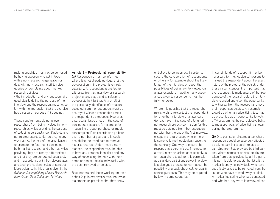making enquiries must not be confused by having apparently to get in touch with a non-research organisation or deal with non-research staff to raise queries or complaints about market research activities;

• the introduction and any questionnaire used clearly define the purpose of the interview and the respondent must not be left with the impression that the exercise has a research purpose if it does not.

These requirements do not prevent researchers from being involved in nonresearch activities providing the purpose of collecting personally identifiable data is not misrepresented. Nor do they in any way restrict the right of the organisation to promote the fact that it carries out both market research and other activities providing they are clearly differentiated and that they are conducted separately and in accordance with the relevant laws and local professional rules of conduct. More guidance in this area is given in the *Guide on Distinguishing Market Research from Other Data Collection Activities.*

#### **Article 3 – Professional responsibility**

**(a)** Respondents must be informed, where it is not already obvious, that their co-operation in the project is entirely voluntary. A respondent is entitled to withdraw from an interview or research project at any stage and to refuse to co-operate in it further. Any or all of the personally identifiable information collected from the respondent must be destroyed within a reasonable time if the respondent so requests. However, a particular issue arises in the case of continuous research, for example for measuring product purchase or media consumption. Data records can go back over a number of years and it would destabilise the trend data to remove historic records. Under these circumstances, the respondent must be able to have any personal identifiers and any way of associating the data with their name or contact details individually with the data, removed or deleted.

Researchers and those working on their behalf (e.g. interviewers) must not make statements or promises that they know

or believe to be incorrect, in order to secure the co-operation of respondents or others – for example about the likely length of the interview or about the possibilities of being re-interviewed on a later occasion. In addition, any assurances given to respondents must be fully honoured.

Where it is possible that the researcher might wish to re-contact the respondent for a further interview at a later date (for example in the case of a longitudinal research project) permission for this must be obtained from the respondent not later than the end of the first interview, except in the rare cases where there is some valid methodological reason to the contrary. One way to ensure that respondents are not misled, if the need for a recall interview arises unexpectedly, is for researchers to ask for this permission as a standard part of any survey interview. It is also good practice to warn about the possibility of a back-check call for quality control purposes. This may be required by law in some countries.

In certain kinds of research it may be necessary for methodological reasons to mislead the respondent about the exact nature of the project at the outset. Under these circumstances it is important that the respondent is made aware of the true purpose of the research before the interview is ended and given the opportunity to withdraw from the research and have their responses deleted. An example would be when an advertising test may be presented as an opportunity to watch a TV programme, the real objective being to measure recall of advertising shown during the programme.

**(b)** One particular circumstance where respondents could be adversely affected by taking part in research relates to sampling from lists provided by third parties. Where names or contact details are taken from a list provided by a third party, it is permissible to update the list with a marker identifying individuals who have specifically asked to be removed from the list, or who have moved away or died. A marker indicating who was contacted and whether they were interviewed can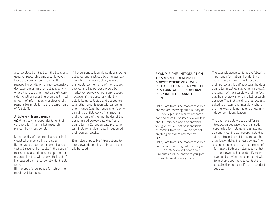also be placed on the list if the list is only used for research purposes. However, there are some circumstances, like researching activity which may be sensitive (for example criminal or political activity) where the researcher must carefully consider whether recording even this limited amount of information is professionally responsible in relation to the requirements of Article 3b.

#### **Article 4 – Transparency**

**(a)** When asking respondents for their co-operation in a market research project they must be told:

**i.** the identity of the organisation or individual who is collecting the data; **ii.** the types of person or organisation that will receive the results in the case of market research data, or the person or organisation that will receive their data if it is passed on in a personally identifiable form;

**iii.** the specific purposes for which the results will be used.

If the personally identifiable data is being collected and analysed by an organisation whose primary activity is research this would be the name of the research agency and the purpose would be market (or survey, or opinion) research. However, if the personally identifiable is being collected and passed on to another organisation without being anonymised (e.g. the researcher is only carrying out fieldwork), it is important that the name of the final holder of the personalised survey data (the "data controller" in European data protection terminology) is given and, if requested, their contact details.

Examples of possible introductions to interviews, depending on how the data will be used:

#### **EXAMPLE ONE: INTRODUCTION TO A MARKET RESEARCH SURVEY WHERE ANY DATA RELEASED TO A CLIENT WILL BE IN A FORM WHERE INDIVIDUAL RESPONDENTS CANNOT BE IDENTIFIED**

Hello, I am from XYZ market research and we are carrying out a survey on …….This is genuine market research not a sales call. The interview will take about ….minutes and any answers you give me will not be identifiable as coming from you. We do not sell anything or collect any money. **OR**

Hello, I am from XYZ market research and we are carrying out a survey on …….. The interview will take about ….minutes and the answers you give me will be made anonymous.

The example above contains the following important information; the identity of the organisation which will receive their personally identifiable data (the data controller in EU legislative terminology), the length of the interview and the fact that the interview is for a market research purpose. The first wording is particularly suited to a telephone interview where the interviewer is not able to show any independent identification.

The example below uses a different introduction because the organisation responsible for holding and analysing personally identifiable research data (the data controller) is not the same as the organisation doing the interviewing. The respondent needs to have both pieces of information. Both examples assume that the interviewer will also identify themselves and provide the respondent with information about how to contact the data collection company if the respondent needs to.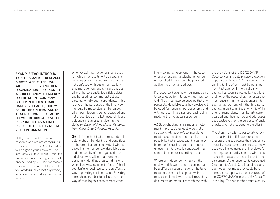**EXAMPLE TWO: INTRODUC-TION TO A MARKET RESEARCH SURVEY WHERE THE DATA WILL BE HELD BY ANOTHER ORGANISATION, FOR EXAMPLE A CONSULTANCY, AD AGENCY OR THE CLIENT COMPANY, BUT EVEN IF IDENTIFIABLE DATA IS RELEASED, THIS WILL BE ON THE UNDERSTANDING THAT NO COMMERCIAL ACTIV-ITY WILL BE DIRECTED AT THE RESPONDENT AS A DIRECT RESULT OF THEIR HAVING PRO-VIDED INFORMATION.**

Hello, I am from XYZ market research and we are carrying out a survey on ……..for ABC Inc. who will be given your answers. The interview will take about ….minutes and any answers you give me will only be used by ABC Inc. for market research. They will not try to sell you anything or collect any money as a result of you taking part in this survey.

When explaining the general purposes for which the results will be used, it is very important that market research is not confused with customer relationship management and similar activities where the personally identifiable data will be used for commercial activity directed to individual respondents. If this is one of the purposes of the interview it should be made clear at the outset when permission is being requested and not presented as market research. More guidance in this area is given in the *Guide on Distinguishing Market Research from Other Data Collection Activities.*

**(b)** It is important that the respondent is able to check the identity and bona fides of the organisation or individual who is collecting their personally identifiable data and the identity of the organisation or individual who will end up holding their personally identifiable data, if different. When interviewing face-to-face, a "thank you" leaflet or business card is an effective way of providing this information. Providing a freephone number to call is a common way of meeting this requirement when

interviewing by telephone. In the case of online research a telephone number or postal address should be provided in addition to an email address.

If a respondent asks how their name came to be selected for interview they must be told. They must also be assured that any personally identifiable data they provide will be used for research purposes only and will not result in a sales approach being made to the individual respondent.

**(c)** Back-checking is an important element in professional quality control of fieldwork. All face-to-face interviews must include a statement that there is a possibility that a subsequent recall may be made for quality control purposes, unless the interview is conducted in a central location or recording is used.

Where an independent check on the quality of fieldwork is to be carried out by a different research agency the latter must conform in all respects with the relevant national laws and self-regulatory documents on market research and with

the provisions of the ICC/ESOMAR Code concerning data privacy protection, in particular Article 7. An agreement in writing to this effect must be obtained from that agency. If the third party agency has been instructed by the client, and not by the researcher, the researcher must ensure that the client enters into such an agreement with the third party agency. In particular, the anonymity of the original respondents must be fully safeguarded and their names and addresses used exclusively for the purposes of backchecks and not disclosed to the client.

The client may wish to personally check the quality of the fieldwork or data preparation. In such cases the client, or his mutually acceptable representative, may observe a limited number of interviews for the purpose of quality control. When this occurs the researcher must first obtain the agreement of the respondents concerned (see note to Article 3a). In addition, any such observer must previously have agreed to comply with the provisions of the ICC/ESOMAR Code, especially Article 7, in writing. The researcher must also try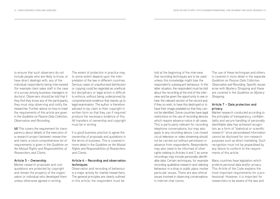to ensure that such observers do not include people who are likely to know, or have direct dealings with, any of the individual respondents being interviewed (for example client sales staff in the case of a survey among business managers or doctors). Observers should be told that if they find they know any of the participants, they must stop observing and notify the researcher. Further advice on how to meet the requirements of this article are given in the *Guideline on Passive Data Collection, Observation and Recording.*

**(d)** This covers the requirement for transparency about details of the execution of a research project between researcher and client; a more comprehensive list of requirements is given in the *Guideline on the Mutual Rights and Responsibilities of Researchers and Clients.*

#### **Article 5 – Ownership**

Market research proposals and cost quotations are protected by copyright and remain the property of the organisation or individual who developed them unless otherwise agreed in writing.

The extent of protection in practice may to some extent depend upon the interpretation of the law in different countries. Serious cases of unauthorised distribution or copying could be regarded as unethical but disciplinary or legal action is difficult to enforce, without being underpinned by comprehensive evidence that stands up to legal examination. The author is therefore advised to lay claim to their copyright in written form so that they can if required produce the necessary evidence of this. All transfers of ownership and copyright must be in writing.

It is good business practice to agree the ownership of proposals and quotations in the terms of business. This is covered in more detail in the *Guideline on the Mutual Rights and Responsibilities of Researchers and Clients.*

#### **Article 6 – Recording and observation techniques**

Observation and recording of behaviour is a major activity for market researchers. The general principles are clearly outlined in this article; the respondent must be

told at the beginning of the interview that recording techniques are to be used unless this knowledge might bias the respondent's subsequent behaviour. In the latter situation, the respondent must be told about the recording at the end of the interview and be given the opportunity to see or hear the relevant section of the record and, if they so wish, to have this destroyed or to have their image pixelated so that they cannot be identified. Some countries have legal restrictions on the use of recording devices which require advance notice in all cases. This is particularly relevant for recording telephone conversations, but may also apply to any recording device. Live closed circuit television or video streaming should not be carried out without permission in advance from respondents. Respondents may also need to be informed of other rights relating to Articles 4 and 7, as some recordings may include personally identifiable data. Certain techniques, for example recording qualitative research and videoing behaviour in a shop or public place, involve particular issues. There are also ethical issues involved in observing conversations in internet chat rooms.

The use of these techniques and others is covered in more detail in the separate *Guideline on Passive Data Collection, Observation and Recording.* Specific issues arise with Mystery Shopping and these are covered in the *Guideline on Mystery Shopping.*

#### **Article 7 – Data protection and privacy**

Market research conducted according to the principles of transparency, confidentiality and secure handling of personally identifiable data has achieved recognition as a form of "statistical or scientific research" since personalised information cannot be disclosed for non-research purposes such as direct marketing. Such recognition must not be jeopardised by any failure to conform to the requirements of this article.

Many countries have legislation which protects personal data and/or privacy. This Article of the Code explains the most important requirements for a professional. However, it is important for researchers to be aware of the law and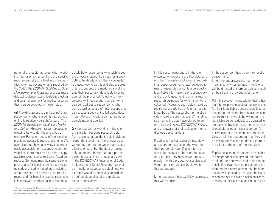national professional rules when working internationally, since there are specific requirements at a local level in some countries which go beyond what is required by the Code\* . The *ESOMAR Guideline on Data Management and Protection* provides more detailed guidance relating to data protection and data management for market research than can be covered in these notes.

**(a)** Providing access to a privacy policy for respondents who are being interviewed online is relatively straightforward. The *ESOMAR Guideline on Conducting Market and Opinion Research Using the Internet* explains how to do this and gives an example. For other modes of interviewing providing access is more challenging. All agencies must have a privacy statement easily accessible for respondents on their websites, there must also be a hard copy available which can be mailed or faxed on request. Someone must be responsible for privacy and for keeping the privacy policy up to date, ensuring that all staff, including temporary staff, are aware of its requirements and for handling queries relating to it. Interviewers working face to face must

be told how respondents who wish to see the privacy statement can ask for a copy; putting the details on a "Thank you leaflet" is a good way to do this and also ensures that respondents are made aware of the way their personally identifiable information will be protected. Telephone interviewers will need a short version which can be read out to respondents who ask, as well as details of how respondents can access a copy of the full policy document. Always include a contact point for complaints and queries.

**(c)** If a researcher working in the client organisation receives research data from a project at an identifiable individual respondent level then there must be a written agreement between agency and client to ensure that the data are used only for research and that both parties agree to observing the rules laid down in the ICC/ESOMAR International Code on Market and Social Research, as well as in national codes and guidelines. An example would be receiving recordings or edited video clips of group discussions or interviews.

In this case, researchers in the client organisation must ensure that data sets or other materials (photographs, recordings, paper documents, etc.) collected for market research that contain personally identifiable information are kept securely and are only used for the original market research purposes for which they were collected. Access to such data should be restricted and allowed only on a need to know basis. The researcher in the client side should ensure that all staff handling such sensitive data have signed to confirm they will follow ICC/ESOMAR Code and are aware of their obligation not to disclose personal data.

If during a market research interview a respondent expresses the wish for their personally identifiable information to be passed to the client because, for example, they have experienced a problem with a product or service and want it put right Article 7c allows for this as long as:

**i.** the respondent has explicitly expressed this wish and/or

**ii.** the respondent has given their explicit consent and

**iii.** on the understanding that no commercial activity (as defined in Article 1d) will be directed at them as a direct result of their having provided information

Point i) allows for the possibility that rather than the respondent spontaneously asking for their identifiable personal details to be passed to the client, the researcher can ask them if they would be willing for their identifiable personal details to be passed to the client. In this latter case, the researcher should either obtain the respondent's permission at the beginning of the interview or tell the respondent that they will be asking permission to identify them to the client at the end of the interview.

Explicit consent in this context means that the respondent has agreed that some, or all, of their answers and their contact details if relevant can be provided to the client on the understanding that the information will be used to deal with the issue raised and not to initiate a sales approach. In many countries, it is sufficient to record

<sup>•</sup> Readers' attention is called to the fact that the German-language version of the International Code is prefaced by a Declaration prepared by the German national market research associations. This sets out certain additional requirements which must be followed in order to conform with German legislation when carrying out research in that country. Copies of this Declaration can be obtained via the ESOMAR website.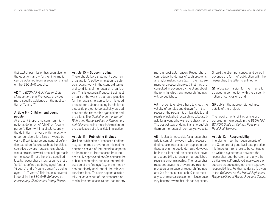that explicit permission has been given on the questionnaire – further information can be obtained from associations listed on the ESOMAR website.

**(d)** The *ESOMAR Guideline on Data Management and Protection* provides more specific guidance on the application of 7e and 7f.

#### **Article 8 – Children and young people**

At present there is no common international definition of "child" or "young person". Even within a single country the definition may vary with the activity under consideration. Since it would be very difficult to agree any general definition based on factors such as the child's cognitive powers, researchers should take a straightforward practical approach to the issue. If not otherwise specified locally, researchers must assume that a "child" is defined as being aged "under 14 years" and a "young person" as being aged "14-17 years." This issue is covered in detail in the ESOMAR *Guideline on Interviewing Children and Young People.*

#### **Article 10 – Subcontracting**

There should be a statement about an organisation's policy in relation to subcontracting work in the standard terms and conditions of the research organisation. This is essential if subcontracting all or part of the work is standard practice for the research organisation. It is good practice for subcontracting in relation to a specific project to be explicitly agreed between the research organisation and the client. The *Guideline on the Mutual Rights and Responsibilities of Researchers and Clients* contains more information on the application of this article in practice.

#### **Article 11 – Publishing findings**

**(b)** The publication of research findings may sometimes prove to be misleading because certain of the technical aspects or limitations of the research have not been fully appreciated and/or because the public presentation, explanation and discussion of the findings (e.g. in the media) has not clearly spelt out all the relevant considerations. This can happen accidentally, or as a result of the pressures on media time and space, rather than for any

more undesirable reason. Researchers can reduce the danger of such problems arising by making sure (e.g. in their agreement for a research project) that they are consulted in advance by the client about the form in which any research findings will be published.

**(c)** In order to enable others to check the validity of conclusions drawn from the research the relevant technical details and results of published research must be available for anyone who wishes to check them. The easiest way of doing this is to publish them on the research company's website.

**(d)** It is clearly impossible for a researcher fully to control the ways in which research findings are interpreted or applied once these are in the public domain. However, both the client and the researcher have a responsibility to ensure that published results are not misleading. The researcher must endeavour to prevent any misinterpretation or misuse of research findings, and (as far as is practicable) to correct any such misinterpretation or misuse once they become aware that this has happened.

Should the client not consult and agree in advance the form of publication with the researcher, the latter is entitled to:

**(i)** refuse permission for their name to be used in connection with the dissemination of conclusions and

**(ii)** publish the appropriate technical details of the project.

The requirements of this article are covered in more detail in the *ESOMAR/ WAPOR Guide on Opinion Polls and Published Surveys.*

#### **Article 12 – Responsibility**

In order to meet the requirements of the Code and of good business practice, it is important for there to be contracts or written agreements between the researcher and the client and any other parties (e.g. self-employed interviewers or subcontractors) setting out their respective responsibilities. Further guidance is given in the *Guideline on the Mutual Rights and Responsibilities of Researchers and Clients.*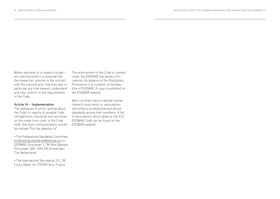Where elements of a research project are subcontracted it is essential that the researcher ensures in the contract with the subcontractor that they and, in particular any interviewers, understand and fully conform to the requirements of the Code.

#### **Article 14 – Implementation**

The addresses to which queries about the Code, or reports of possible Code infringements, should be sent are those on the inside front cover of the Code itself. Any such communications should be marked "For the attention of":

• The Professional Standards Committee, professional.standards@esomar.org or ESOMAR, Eurocenter 2, 11th floor, Barbara Strozzilaan 384, 1083 HN Amsterdam The Netherlands

• The International Secretariat, ICC, 38 Cours Albert 1er, 75008 Paris, France

The enforcement of this Code is covered under the ESOMAR Disciplinary Procedures. Acceptance of the Disciplinary Procedures is a condition of membership of ESOMAR. A copy is published on the ESOMAR website.

Most countries have a national market research association or associations who enforce professional and ethical standards among their members. A list of associations which abide by the ICC/ ESOMAR Code can be found on the ESOMAR website.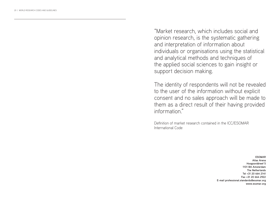"Market research, which includes social and opinion research, is the systematic gathering and interpretation of information about individuals or organisations using the statistical and analytical methods and techniques of the applied social sciences to gain insight or support decision making.

The identity of respondents will not be revealed to the user of the information without explicit consent and no sales approach will be made to them as a direct result of their having provided information."

Definition of market research contained in the ICC/ESOMAR International Code

> **ESOMAR Atlas Arena Hoogoorddreef 5 1101 BA Amsterdam The Netherlands Tel +31 20 664 2141 Fax +31 20 664 2922 E-mail professional.standards@esomar.org www.esomar.org**